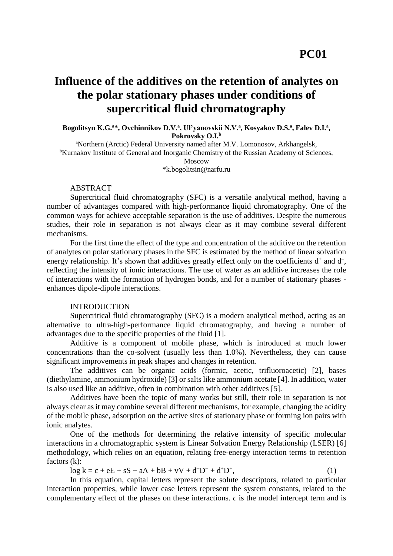# **Influence of the additives on the retention of analytes on the polar stationary phases under conditions of supercritical fluid chromatography**

**Bogolitsyn K.G.<sup>a</sup>\*, Ovchinnikov D.V.<sup>a</sup> , Ul'yanovskii N.V.<sup>a</sup> , Kosyakov D.S.<sup>a</sup> , Falev D.I.<sup>a</sup> , Pokrovsky O.I.<sup>b</sup>**

<sup>a</sup>Northern (Arctic) Federal University named after M.V. Lomonosov, Arkhangelsk, <sup>b</sup>Kurnakov Institute of General and Inorganic Chemistry of the Russian Academy of Sciences, Moscow \*k.bogolitsin@narfu.ru

#### ABSTRACT

Supercritical fluid chromatography (SFC) is a versatile analytical method, having a number of advantages compared with high-performance liquid chromatography. One of the common ways for achieve acceptable separation is the use of additives. Despite the numerous studies, their role in separation is not always clear as it may combine several different mechanisms.

For the first time the effect of the type and concentration of the additive on the retention of analytes on polar stationary phases in the SFC is estimated by the method of linear solvation energy relationship. It's shown that additives greatly effect only on the coefficients  $d^+$  and  $d^-$ , reflecting the intensity of ionic interactions. The use of water as an additive increases the role of interactions with the formation of hydrogen bonds, and for a number of stationary phases enhances dipole-dipole interactions.

### INTRODUCTION

Supercritical fluid chromatography (SFC) is a modern analytical method, acting as an alternative to ultra-high-performance liquid chromatography, and having a number of advantages due to the specific properties of the fluid [1].

Additive is a component of mobile phase, which is introduced at much lower concentrations than the co-solvent (usually less than 1.0%). Nevertheless, they can cause significant improvements in peak shapes and changes in retention.

The additives can be organic acids (formic, acetic, trifluoroacetic) [2], bases (diethylamine, ammonium hydroxide) [3] or salts like ammonium acetate [4]. In addition, water is also used like an additive, often in combination with other additives [5].

Additives have been the topic of many works but still, their role in separation is not always clear as it may combine several different mechanisms, for example, changing the acidity of the mobile phase, adsorption on the active sites of stationary phase or forming ion pairs with ionic analytes.

One of the methods for determining the relative intensity of specific molecular interactions in a chromatographic system is Linear Solvation Energy Relationship (LSER) [6] methodology, which relies on an equation, relating free-energy interaction terms to retention factors (k):

 $\log k = c + eE + sS + aA + bB + vV + d^{-}D^{-} + d^{+}D^{+}$  $\hspace{1.6cm}$ , (1)

In this equation, capital letters represent the solute descriptors, related to particular interaction properties, while lower case letters represent the system constants, related to the complementary effect of the phases on these interactions. *c* is the model intercept term and is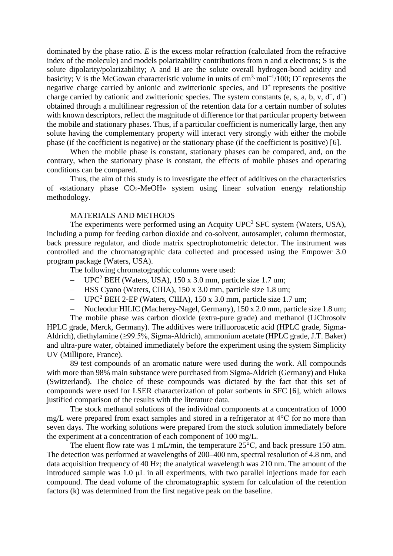dominated by the phase ratio. *E* is the excess molar refraction (calculated from the refractive index of the molecule) and models polarizability contributions from n and  $\pi$  electrons; S is the solute dipolarity/polarizability; A and B are the solute overall hydrogen-bond acidity and basicity; V is the McGowan characteristic volume in units of cm<sup>3</sup>·mol<sup>-1</sup>/100; D<sup>-</sup> represents the negative charge carried by anionic and zwitterionic species, and  $D<sup>+</sup>$  represents the positive charge carried by cationic and zwitterionic species. The system constants (e, s, a, b, v,  $d^-, d^+$ ) obtained through a multilinear regression of the retention data for a certain number of solutes with known descriptors, reflect the magnitude of difference for that particular property between the mobile and stationary phases. Thus, if a particular coefficient is numerically large, then any solute having the complementary property will interact very strongly with either the mobile phase (if the coefficient is negative) or the stationary phase (if the coefficient is positive) [6].

When the mobile phase is constant, stationary phases can be compared, and, on the contrary, when the stationary phase is constant, the effects of mobile phases and operating conditions can be compared.

Thus, the aim of this study is to investigate the effect of additives on the characteristics of «stationary phase  $CO<sub>2</sub>$ -MeOH» system using linear solvation energy relationship methodology.

#### MATERIALS AND METHODS

The experiments were performed using an Acquity  $UPC<sup>2</sup>$  SFC system (Waters, USA), including a pump for feeding carbon dioxide and co-solvent, autosampler, column thermostat, back pressure regulator, and diode matrix spectrophotometric detector. The instrument was controlled and the chromatographic data collected and processed using the Empower 3.0 program package (Waters, USA).

The following chromatographic columns were used:

- $-$  UPC<sup>2</sup> BEH (Waters, USA), 150 x 3.0 mm, particle size 1.7 um;
- HSS Cyano (Waters, США), 150 х 3.0 mm, particle size 1.8 um;
- $-$  UPC<sup>2</sup> BEH 2-EP (Waters, CIIIA), 150 x 3.0 mm, particle size 1.7 um;
- Nucleodur HILIC (Macherey-Nagel, Germany), 150 х 2.0 mm, particle size 1.8 um;

The mobile phase was carbon dioxide (extra-pure grade) and methanol (LiChrosolv HPLC grade, Merck, Germany). The additives were trifluoroacetic acid (HPLC grade, Sigma-Aldrich), diethylamine (≥99.5%, Sigma-Aldrich), ammonium acetate (HPLC grade, J.T. Baker) and ultra-pure water, obtained immediately before the experiment using the system Simplicity UV (Millipore, France).

89 test compounds of an aromatic nature were used during the work. All compounds with more than 98% main substance were purchased from Sigma-Aldrich (Germany) and Fluka (Switzerland). The choice of these compounds was dictated by the fact that this set of compounds were used for LSER characterization of polar sorbents in SFC [6], which allows justified comparison of the results with the literature data.

The stock methanol solutions of the individual components at a concentration of 1000 mg/L were prepared from exact samples and stored in a refrigerator at 4°С for no more than seven days. The working solutions were prepared from the stock solution immediately before the experiment at a concentration of each component of 100 mg/L.

The eluent flow rate was 1 mL/min, the temperature  $25^{\circ}$ C, and back pressure 150 atm. The detection was performed at wavelengths of 200–400 nm, spectral resolution of 4.8 nm, and data acquisition frequency of 40 Hz; the analytical wavelength was 210 nm. The amount of the introduced sample was 1.0 μL in all experiments, with two parallel injections made for each compound. The dead volume of the chromatographic system for calculation of the retention factors (k) was determined from the first negative peak on the baseline.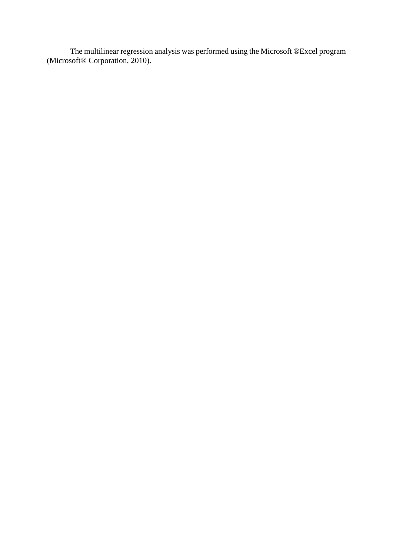The multilinear regression analysis was performed using the Microsoft ®Excel program (Microsoft® Corporation, 2010).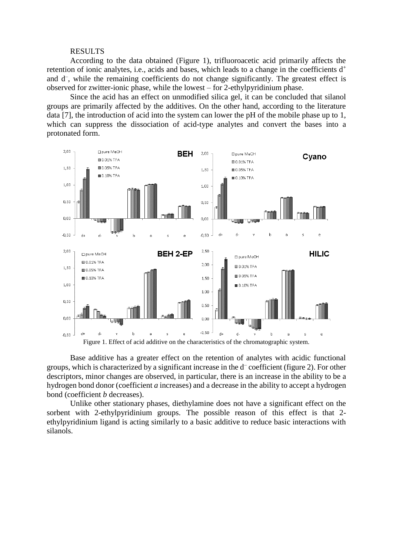#### RESULTS

According to the data obtained (Figure 1), trifluoroacetic acid primarily affects the retention of ionic analytes, i.e., acids and bases, which leads to a change in the coefficients  $d^+$ and d<sup>-</sup>, while the remaining coefficients do not change significantly. The greatest effect is observed for zwitter-ionic phase, while the lowest – for 2-ethylpyridinium phase.

Since the acid has an effect on unmodified silica gel, it can be concluded that silanol groups are primarily affected by the additives. On the other hand, according to the literature data [7], the introduction of acid into the system can lower the pH of the mobile phase up to 1, which can suppress the dissociation of acid-type analytes and convert the bases into a protonated form.



Base additive has a greater effect on the retention of analytes with acidic functional groups, which is characterized by a significant increase in the d– coefficient (figure 2). For other descriptors, minor changes are observed, in particular, there is an increase in the ability to be a hydrogen bond donor (coefficient *a* increases) and a decrease in the ability to accept a hydrogen bond (coefficient *b* decreases).

Unlike other stationary phases, diethylamine does not have a significant effect on the sorbent with 2-ethylpyridinium groups. The possible reason of this effect is that 2 ethylpyridinium ligand is acting similarly to a basic additive to reduce basic interactions with silanols.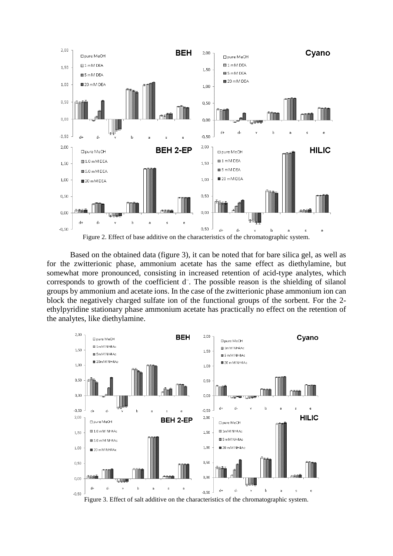

Based on the obtained data (figure 3), it can be noted that for bare silica gel, as well as for the zwitterionic phase, ammonium acetate has the same effect as diethylamine, but somewhat more pronounced, consisting in increased retention of acid-type analytes, which corresponds to growth of the coefficient  $d^-$ . The possible reason is the shielding of silanol groups by ammonium and acetate ions. In the case of the zwitterionic phase ammonium ion can block the negatively charged sulfate ion of the functional groups of the sorbent. For the 2 ethylpyridine stationary phase ammonium acetate has practically no effect on the retention of the analytes, like diethylamine.



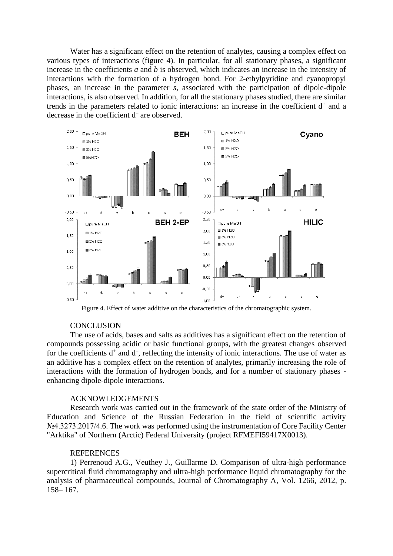Water has a significant effect on the retention of analytes, causing a complex effect on various types of interactions (figure 4). In particular, for all stationary phases, a significant increase in the coefficients *a* and *b* is observed, which indicates an increase in the intensity of interactions with the formation of a hydrogen bond. For 2-ethylpyridine and cyanopropyl phases, an increase in the parameter *s*, associated with the participation of dipole-dipole interactions, is also observed. In addition, for all the stationary phases studied, there are similar trends in the parameters related to ionic interactions: an increase in the coefficient  $d^+$  and a decrease in the coefficient d – are observed.



Figure 4. Effect of water additive on the characteristics of the chromatographic system.

## **CONCLUSION**

The use of acids, bases and salts as additives has a significant effect on the retention of compounds possessing acidic or basic functional groups, with the greatest changes observed for the coefficients  $d^+$  and  $d^-$ , reflecting the intensity of ionic interactions. The use of water as an additive has a complex effect on the retention of analytes, primarily increasing the role of interactions with the formation of hydrogen bonds, and for a number of stationary phases enhancing dipole-dipole interactions.

#### ACKNOWLEDGEMENTS

Research work was carried out in the framework of the state order of the Ministry of Education and Science of the Russian Federation in the field of scientific activity №4.3273.2017/4.6. The work was performed using the instrumentation of Core Facility Center "Arktika" of Northern (Arctic) Federal University (project RFMEFI59417X0013).

# **REFERENCES**

1) Perrenoud A.G., Veuthey J., Guillarme D. Comparison of ultra-high performance supercritical fluid chromatography and ultra-high performance liquid chromatography for the analysis of pharmaceutical compounds, Journal of Chromatography A, Vol. 1266, 2012, p. 158– 167.